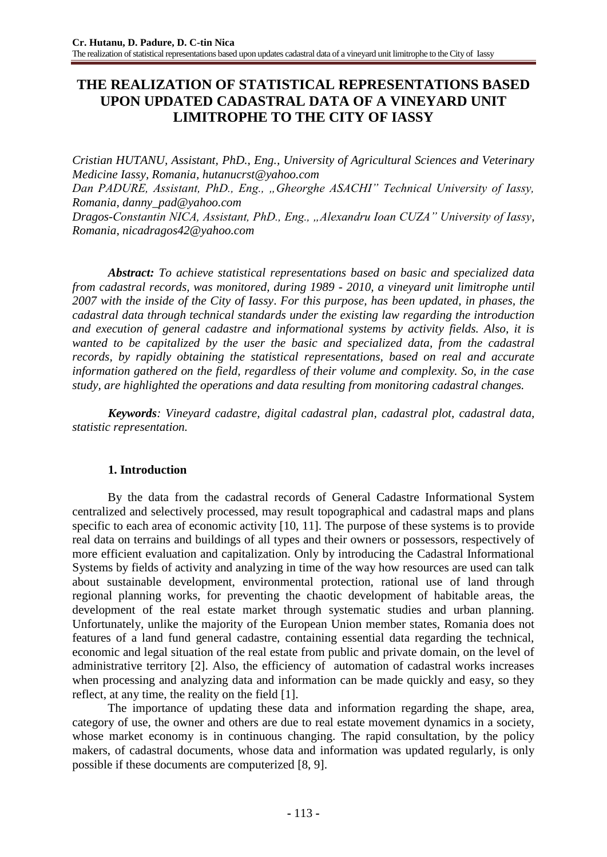# **THE REALIZATION OF STATISTICAL REPRESENTATIONS BASED UPON UPDATED CADASTRAL DATA OF A VINEYARD UNIT LIMITROPHE TO THE CITY OF IASSY**

*Cristian HUTANU, Assistant, PhD., Eng., University of Agricultural Sciences and Veterinary Medicine Iassy, Romania, hutanucrst@yahoo.com*

*Dan PADURE, Assistant, PhD., Eng., "Gheorghe ASACHI" Technical University of Iassy, Romania, danny\_pad@yahoo.com*

*Dragos-Constantin NICA, Assistant, PhD., Eng., "Alexandru Ioan CUZA" University of Iassy, Romania, nicadragos42@yahoo.com*

*Abstract: To achieve statistical representations based on basic and specialized data from cadastral records, was monitored, during 1989 - 2010, a vineyard unit limitrophe until 2007 with the inside of the City of Iassy*. *For this purpose, has been updated, in phases, the cadastral data through technical standards under the existing law regarding the introduction and execution of general cadastre and informational systems by activity fields. Also, it is wanted to be capitalized by the user the basic and specialized data, from the cadastral records, by rapidly obtaining the statistical representations, based on real and accurate information gathered on the field, regardless of their volume and complexity. So, in the case study, are highlighted the operations and data resulting from monitoring cadastral changes.*

*Keywords: Vineyard cadastre, digital cadastral plan, cadastral plot, cadastral data, statistic representation.*

### **1. Introduction**

By the data from the cadastral records of General Cadastre Informational System centralized and selectively processed, may result topographical and cadastral maps and plans specific to each area of economic activity [10, 11]. The purpose of these systems is to provide real data on terrains and buildings of all types and their owners or possessors, respectively of more efficient evaluation and capitalization. Only by introducing the Cadastral Informational Systems by fields of activity and analyzing in time of the way how resources are used can talk about sustainable development, environmental protection, rational use of land through regional planning works, for preventing the chaotic development of habitable areas, the development of the real estate market through systematic studies and urban planning. Unfortunately, unlike the majority of the European Union member states, Romania does not features of a land fund general cadastre, containing essential data regarding the technical, economic and legal situation of the real estate from public and private domain, on the level of administrative territory [2]. Also, the efficiency of automation of cadastral works increases when processing and analyzing data and information can be made quickly and easy, so they reflect, at any time, the reality on the field [1].

The importance of updating these data and information regarding the shape, area, category of use, the owner and others are due to real estate movement dynamics in a society, whose market economy is in continuous changing. The rapid consultation, by the policy makers, of cadastral documents, whose data and information was updated regularly, is only possible if these documents are computerized [8, 9].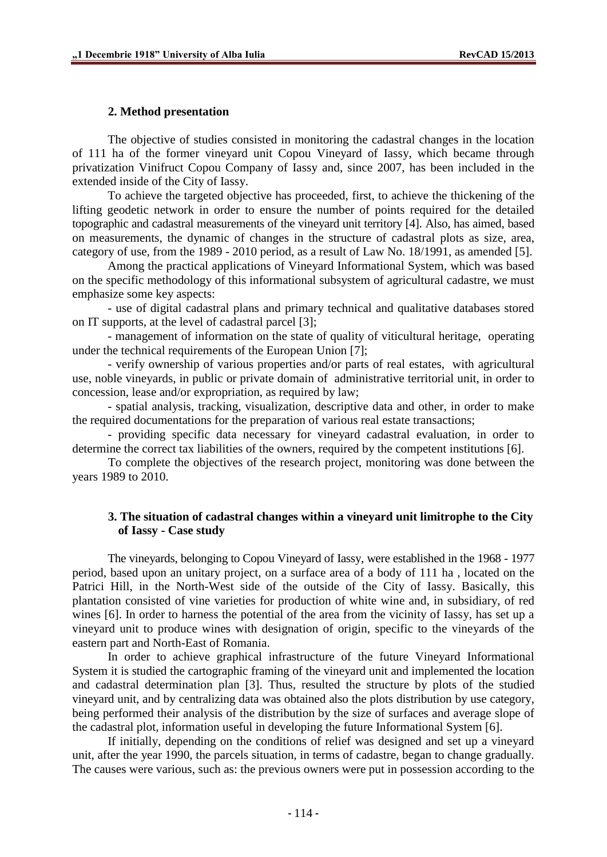#### **2. Method presentation**

The objective of studies consisted in monitoring the cadastral changes in the location of 111 ha of the former vineyard unit Copou Vineyard of Iassy, which became through privatization Vinifruct Copou Company of Iassy and, since 2007, has been included in the extended inside of the City of Iassy.

To achieve the targeted objective has proceeded, first, to achieve the thickening of the lifting geodetic network in order to ensure the number of points required for the detailed topographic and cadastral measurements of the vineyard unit territory [4]. Also, has aimed, based on measurements, the dynamic of changes in the structure of cadastral plots as size, area, category of use, from the 1989 - 2010 period, as a result of Law No. 18/1991, as amended [5].

Among the practical applications of Vineyard Informational System, which was based on the specific methodology of this informational subsystem of agricultural cadastre, we must emphasize some key aspects:

- use of digital cadastral plans and primary technical and qualitative databases stored on IT supports, at the level of cadastral parcel [3];

- management of information on the state of quality of viticultural heritage, operating under the technical requirements of the European Union [7];

- verify ownership of various properties and/or parts of real estates, with agricultural use, noble vineyards, in public or private domain of administrative territorial unit, in order to concession, lease and/or expropriation, as required by law;

- spatial analysis, tracking, visualization, descriptive data and other, in order to make the required documentations for the preparation of various real estate transactions;

- providing specific data necessary for vineyard cadastral evaluation, in order to determine the correct tax liabilities of the owners, required by the competent institutions [6].

To complete the objectives of the research project, monitoring was done between the years 1989 to 2010.

## **3. The situation of cadastral changes within a vineyard unit limitrophe to the City of Iassy - Case study**

The vineyards, belonging to Copou Vineyard of Iassy, were established in the 1968 - 1977 period, based upon an unitary project, on a surface area of a body of 111 ha , located on the Patrici Hill, in the North-West side of the outside of the City of Iassy. Basically, this plantation consisted of vine varieties for production of white wine and, in subsidiary, of red wines [6]. In order to harness the potential of the area from the vicinity of Iassy, has set up a vineyard unit to produce wines with designation of origin, specific to the vineyards of the eastern part and North-East of Romania.

In order to achieve graphical infrastructure of the future Vineyard Informational System it is studied the cartographic framing of the vineyard unit and implemented the location and cadastral determination plan [3]. Thus, resulted the structure by plots of the studied vineyard unit, and by centralizing data was obtained also the plots distribution by use category, being performed their analysis of the distribution by the size of surfaces and average slope of the cadastral plot, information useful in developing the future Informational System [6].

If initially, depending on the conditions of relief was designed and set up a vineyard unit, after the year 1990, the parcels situation, in terms of cadastre, began to change gradually. The causes were various, such as: the previous owners were put in possession according to the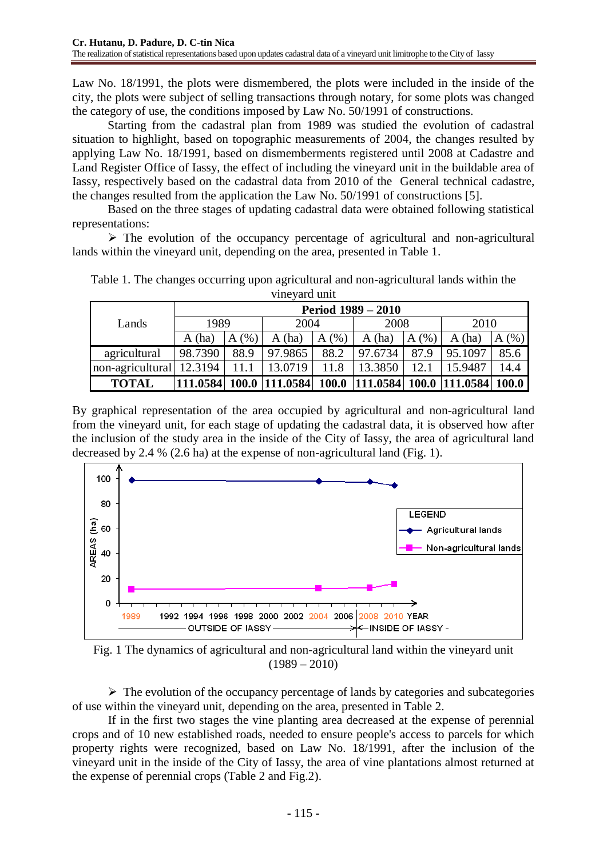Law No. 18/1991, the plots were dismembered, the plots were included in the inside of the city, the plots were subject of selling transactions through notary, for some plots was changed the category of use, the conditions imposed by Law No. 50/1991 of constructions.

Starting from the cadastral plan from 1989 was studied the evolution of cadastral situation to highlight, based on topographic measurements of 2004, the changes resulted by applying Law No. 18/1991, based on dismemberments registered until 2008 at Cadastre and Land Register Office of Iassy, the effect of including the vineyard unit in the buildable area of Iassy, respectively based on the cadastral data from 2010 of the General technical cadastre, the changes resulted from the application the Law No. 50/1991 of constructions [5].

Based on the three stages of updating cadastral data were obtained following statistical representations:

 $\triangleright$  The evolution of the occupancy percentage of agricultural and non-agricultural lands within the vineyard unit, depending on the area, presented in Table 1.

| ville varu ullit |                           |           |                 |           |                                     |      |         |           |  |  |  |
|------------------|---------------------------|-----------|-----------------|-----------|-------------------------------------|------|---------|-----------|--|--|--|
| Lands            | <b>Period 1989 – 2010</b> |           |                 |           |                                     |      |         |           |  |  |  |
|                  | 1989                      |           | 2004            |           | 2008                                |      | 2010    |           |  |  |  |
|                  | (ha)<br>А                 | (% )<br>A | A(ha)           | (% )<br>A | A(ha)                               | A(%) | A(ha)   | (% )<br>A |  |  |  |
| agricultural     | 98.7390                   | 88.9      | 97.9865         | 88.2      | 97.6734                             | 87.9 | 95.1097 | 85.6      |  |  |  |
| non-agricultural | 12.3194                   | 11.1      | 13.0719         | 11.8      | 13.3850                             | 12.1 | 15.9487 | 14.4      |  |  |  |
| <b>TOTAL</b>     | 111.0584                  |           | 100.0 1111.0584 |           | 100.0 111.0584 100.0 111.0584 100.0 |      |         |           |  |  |  |

Table 1. The changes occurring upon agricultural and non-agricultural lands within the vineyard unit

By graphical representation of the area occupied by agricultural and non-agricultural land from the vineyard unit, for each stage of updating the cadastral data, it is observed how after the inclusion of the study area in the inside of the City of Iassy, the area of agricultural land decreased by 2.4 % (2.6 ha) at the expense of non-agricultural land (Fig. 1).





 $\triangleright$  The evolution of the occupancy percentage of lands by categories and subcategories of use within the vineyard unit, depending on the area, presented in Table 2.

If in the first two stages the vine planting area decreased at the expense of perennial crops and of 10 new established roads, needed to ensure people's access to parcels for which property rights were recognized, based on Law No. 18/1991, after the inclusion of the vineyard unit in the inside of the City of Iassy, the area of vine plantations almost returned at the expense of perennial crops (Table 2 and Fig.2).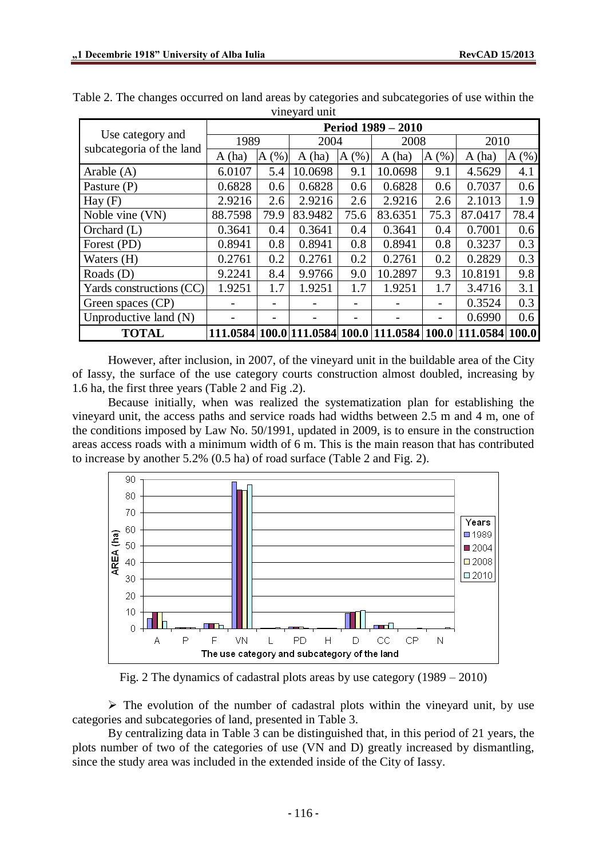| vineyard unit                                |                           |      |         |      |                                              |      |                |      |  |  |  |
|----------------------------------------------|---------------------------|------|---------|------|----------------------------------------------|------|----------------|------|--|--|--|
|                                              | <b>Period 1989 – 2010</b> |      |         |      |                                              |      |                |      |  |  |  |
| Use category and<br>subcategoria of the land | 1989                      |      | 2004    |      | 2008                                         |      | 2010           |      |  |  |  |
|                                              | A(ha)                     | A(%) | A(ha)   | A(%) | A(ha)                                        | A(%) | A(ha)          | A(%) |  |  |  |
| Arable $(A)$                                 | 6.0107                    | 5.4  | 10.0698 | 9.1  | 10.0698                                      | 9.1  | 4.5629         | 4.1  |  |  |  |
| Pasture (P)                                  | 0.6828                    | 0.6  | 0.6828  | 0.6  | 0.6828                                       | 0.6  | 0.7037         | 0.6  |  |  |  |
| $\text{Hay}(F)$                              | 2.9216                    | 2.6  | 2.9216  | 2.6  | 2.9216                                       | 2.6  | 2.1013         | 1.9  |  |  |  |
| Noble vine (VN)                              | 88.7598                   | 79.9 | 83.9482 | 75.6 | 83.6351                                      | 75.3 | 87.0417        | 78.4 |  |  |  |
| Orchard (L)                                  | 0.3641                    | 0.4  | 0.3641  | 0.4  | 0.3641                                       | 0.4  | 0.7001         | 0.6  |  |  |  |
| Forest (PD)                                  | 0.8941                    | 0.8  | 0.8941  | 0.8  | 0.8941                                       | 0.8  | 0.3237         | 0.3  |  |  |  |
| Waters (H)                                   | 0.2761                    | 0.2  | 0.2761  | 0.2  | 0.2761                                       | 0.2  | 0.2829         | 0.3  |  |  |  |
| Roads $(D)$                                  | 9.2241                    | 8.4  | 9.9766  | 9.0  | 10.2897                                      | 9.3  | 10.8191        | 9.8  |  |  |  |
| Yards constructions (CC)                     | 1.9251                    | 1.7  | 1.9251  | 1.7  | 1.9251                                       | 1.7  | 3.4716         | 3.1  |  |  |  |
| Green spaces (CP)                            |                           |      |         |      |                                              |      | 0.3524         | 0.3  |  |  |  |
| Unproductive land $(N)$                      |                           |      |         |      |                                              |      | 0.6990         | 0.6  |  |  |  |
| <b>TOTAL</b>                                 |                           |      |         |      | 111.0584 100.0 111.0584 100.0 111.0584 100.0 |      | 111.0584 100.0 |      |  |  |  |

Table 2. The changes occurred on land areas by categories and subcategories of use within the vineyard unit

However, after inclusion, in 2007, of the vineyard unit in the buildable area of the City of Iassy, the surface of the use category courts construction almost doubled, increasing by 1.6 ha, the first three years (Table 2 and Fig .2).

Because initially, when was realized the systematization plan for establishing the vineyard unit, the access paths and service roads had widths between 2.5 m and 4 m, one of the conditions imposed by Law No. 50/1991, updated in 2009, is to ensure in the construction areas access roads with a minimum width of 6 m. This is the main reason that has contributed to increase by another 5.2% (0.5 ha) of road surface (Table 2 and Fig. 2).



Fig. 2 The dynamics of cadastral plots areas by use category (1989 – 2010)

 $\triangleright$  The evolution of the number of cadastral plots within the vineyard unit, by use categories and subcategories of land, presented in Table 3.

By centralizing data in Table 3 can be distinguished that, in this period of 21 years, the plots number of two of the categories of use (VN and D) greatly increased by dismantling, since the study area was included in the extended inside of the City of Iassy.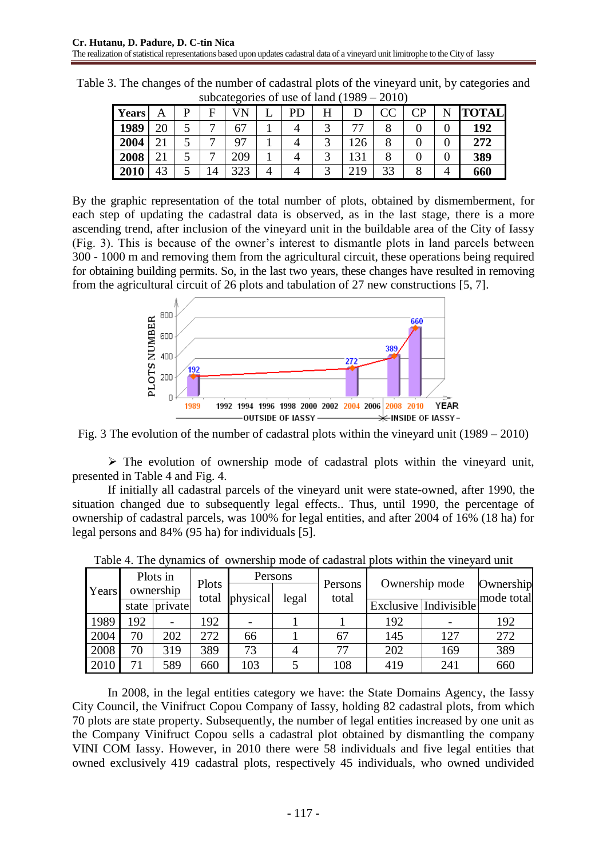| - - - - - 0  |                         |   |                |     |  |    |  |              |          |               |  |              |
|--------------|-------------------------|---|----------------|-----|--|----|--|--------------|----------|---------------|--|--------------|
| <b>Years</b> | Α                       | D | F              |     |  | PD |  |              | $\rm CC$ | $\mathrm{CP}$ |  | <b>TOTAL</b> |
| 1989         | 20                      |   | −              |     |  |    |  |              |          |               |  | 192          |
| 2004         | $\mathbf{\Omega}$<br>້⊥ | ັ | –              | റ7  |  |    |  | 26           |          |               |  | 272          |
| 2008         | ້⊥                      | ັ |                | 209 |  |    |  | $\bigcirc$ 1 |          |               |  | 389          |
| 2010         | 43                      |   | $\overline{4}$ | 323 |  |    |  | 219          | 33       |               |  | 660          |

Table 3. The changes of the number of cadastral plots of the vineyard unit, by categories and subcategories of use of land (1989 – 2010)

By the graphic representation of the total number of plots, obtained by dismemberment, for each step of updating the cadastral data is observed, as in the last stage, there is a more ascending trend, after inclusion of the vineyard unit in the buildable area of the City of Iassy (Fig. 3). This is because of the owner's interest to dismantle plots in land parcels between 300 - 1000 m and removing them from the agricultural circuit, these operations being required for obtaining building permits. So, in the last two years, these changes have resulted in removing from the agricultural circuit of 26 plots and tabulation of 27 new constructions [5, 7].



Fig. 3 The evolution of the number of cadastral plots within the vineyard unit (1989 – 2010)

 $\triangleright$  The evolution of ownership mode of cadastral plots within the vineyard unit, presented in Table 4 and Fig. 4.

If initially all cadastral parcels of the vineyard unit were state-owned, after 1990, the situation changed due to subsequently legal effects.. Thus, until 1990, the percentage of ownership of cadastral parcels, was 100% for legal entities, and after 2004 of 16% (18 ha) for legal persons and 84% (95 ha) for individuals [5].

|       |           | Plots in      |                | Persons  |       |                  | Ownership mode |                       | Ownership |  |
|-------|-----------|---------------|----------------|----------|-------|------------------|----------------|-----------------------|-----------|--|
| Years | ownership |               | Plots<br>total |          |       | Persons<br>total |                | mode total            |           |  |
|       |           | state private |                | physical | legal |                  |                | Exclusive Indivisible |           |  |
| 1989  | 192       | -             | 192            |          |       |                  | 192            |                       | 192       |  |
| 2004  | 70        | 202           | 272            | 66       |       | 67               | 145            | 127                   | 272       |  |
| 2008  | 70        | 319           | 389            | 73       |       | 77               | 202            | 169                   | 389       |  |
| 2010  | 71        | 589           | 660            | 103      |       | 108              | 419            | 241                   | 660       |  |

Table 4. The dynamics of ownership mode of cadastral plots within the vineyard unit

In 2008, in the legal entities category we have: the State Domains Agency, the Iassy City Council, the Vinifruct Copou Company of Iassy, holding 82 cadastral plots, from which 70 plots are state property. Subsequently, the number of legal entities increased by one unit as the Company Vinifruct Copou sells a cadastral plot obtained by dismantling the company VINI COM Iassy. However, in 2010 there were 58 individuals and five legal entities that owned exclusively 419 cadastral plots, respectively 45 individuals, who owned undivided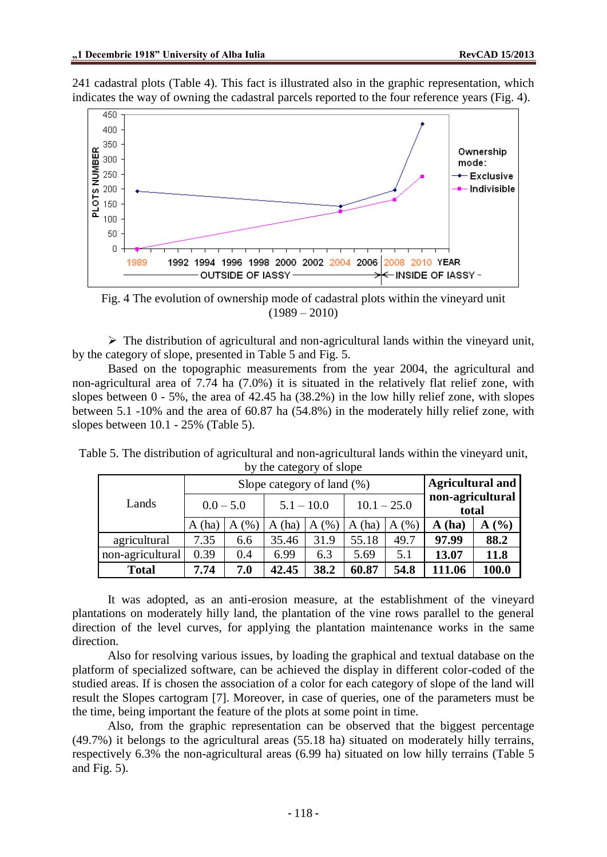241 cadastral plots (Table 4). This fact is illustrated also in the graphic representation, which indicates the way of owning the cadastral parcels reported to the four reference years (Fig. 4).



Fig. 4 The evolution of ownership mode of cadastral plots within the vineyard unit  $(1989 - 2010)$ 

 $\triangleright$  The distribution of agricultural and non-agricultural lands within the vineyard unit, by the category of slope, presented in Table 5 and Fig. 5.

Based on the topographic measurements from the year 2004, the agricultural and non-agricultural area of 7.74 ha (7.0%) it is situated in the relatively flat relief zone, with slopes between  $0 - 5\%$ , the area of 42.45 ha (38.2%) in the low hilly relief zone, with slopes between 5.1 -10% and the area of 60.87 ha (54.8%) in the moderately hilly relief zone, with slopes between 10.1 - 25% (Table 5).

| Lands            |             | Slope category of land (%) | Agricultural and |      |               |      |                           |       |  |
|------------------|-------------|----------------------------|------------------|------|---------------|------|---------------------------|-------|--|
|                  | $0.0 - 5.0$ |                            | $5.1 - 10.0$     |      | $10.1 - 25.0$ |      | non-agricultural<br>total |       |  |
|                  | (ha)<br>A   | (%<br>Α                    | (ha)<br>Α        | A(%) | (ha)<br>A     | A(%) | (ha)<br>A                 | A(%)  |  |
| agricultural     | 7.35        | 6.6                        | 35.46            | 31.9 | 55.18         | 49.7 | 97.99                     | 88.2  |  |
| non-agricultural | 0.39        | 0.4                        | 6.99             | 6.3  | 5.69          | 5.1  | 13.07                     | 11.8  |  |
| <b>Total</b>     | 7.74        | 7.0                        | 42.45            | 38.2 | 60.87         | 54.8 | 111.06                    | 100.0 |  |

Table 5. The distribution of agricultural and non-agricultural lands within the vineyard unit, by the category of slope

It was adopted, as an anti-erosion measure, at the establishment of the vineyard plantations on moderately hilly land, the plantation of the vine rows parallel to the general direction of the level curves, for applying the plantation maintenance works in the same direction.

Also for resolving various issues, by loading the graphical and textual database on the platform of specialized software, can be achieved the display in different color-coded of the studied areas. If is chosen the association of a color for each category of slope of the land will result the Slopes cartogram [7]. Moreover, in case of queries, one of the parameters must be the time, being important the feature of the plots at some point in time.

Also, from the graphic representation can be observed that the biggest percentage (49.7%) it belongs to the agricultural areas (55.18 ha) situated on moderately hilly terrains, respectively 6.3% the non-agricultural areas (6.99 ha) situated on low hilly terrains (Table 5 and Fig. 5).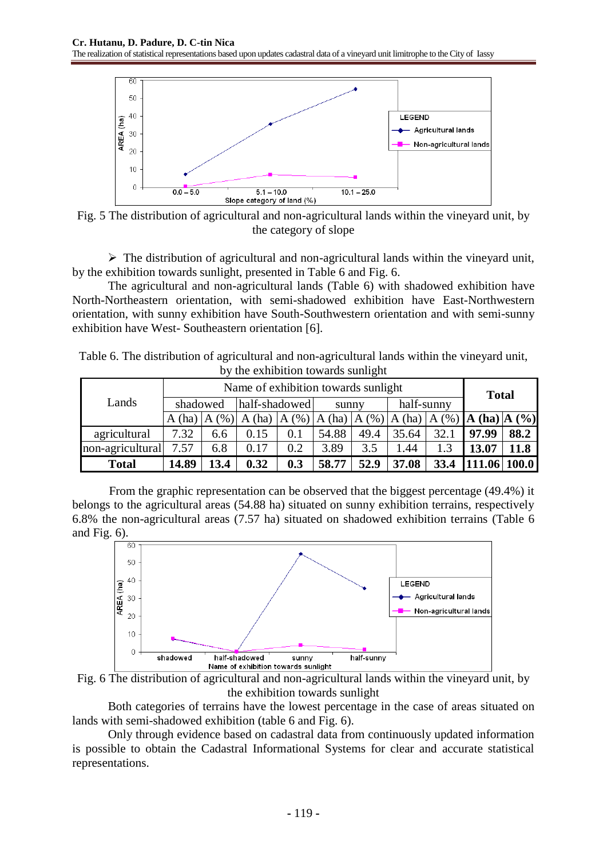

Fig. 5 The distribution of agricultural and non-agricultural lands within the vineyard unit, by the category of slope

 $\triangleright$  The distribution of agricultural and non-agricultural lands within the vineyard unit, by the exhibition towards sunlight, presented in Table 6 and Fig. 6.

The agricultural and non-agricultural lands (Table 6) with shadowed exhibition have North-Northeastern orientation, with semi-shadowed exhibition have East-Northwestern orientation, with sunny exhibition have South-Southwestern orientation and with semi-sunny exhibition have West- Southeastern orientation [6].

| Table 6. The distribution of agricultural and non-agricultural lands within the vineyard unit, |                                    |  |  |
|------------------------------------------------------------------------------------------------|------------------------------------|--|--|
|                                                                                                | by the exhibition towards sunlight |  |  |

| Lands            | Name of exhibition towards sunlight |      |               |           |       |                   |            |          |                                    | <b>Total</b> |  |  |
|------------------|-------------------------------------|------|---------------|-----------|-------|-------------------|------------|----------|------------------------------------|--------------|--|--|
|                  | shadowed                            |      | half-shadowed |           | sunny |                   | half-sunny |          |                                    |              |  |  |
|                  | A(ha)   A                           | (%)  | (ha)<br>A     | (% )<br>A | A     | $(ha)$ $A$ $(\%)$ | A(ha)      | A $(% )$ | $\mathbf{A}$ (ha) $\mathbf{A}$ (%) |              |  |  |
| agricultural     | 7.32                                | 6.6  | 0.15          | 0.1       | 54.88 | 49.4              | 35.64      | 32.1     | 97.99                              | 88.2         |  |  |
| non-agricultural | 7.57                                | 6.8  | 0.17          | 0.2       | 3.89  | 3.5               | .44        |          | 13.07                              | 11.8         |  |  |
| <b>Total</b>     | 14.89                               | 13.4 | 0.32          | 0.3       | 58.77 | 52.9              | 37.08      | 33.4     |                                    | .06 100.0    |  |  |

From the graphic representation can be observed that the biggest percentage (49.4%) it belongs to the agricultural areas (54.88 ha) situated on sunny exhibition terrains, respectively 6.8% the non-agricultural areas (7.57 ha) situated on shadowed exhibition terrains (Table 6 and Fig. 6).





Both categories of terrains have the lowest percentage in the case of areas situated on lands with semi-shadowed exhibition (table 6 and Fig. 6).

Only through evidence based on cadastral data from continuously updated information is possible to obtain the Cadastral Informational Systems for clear and accurate statistical representations.